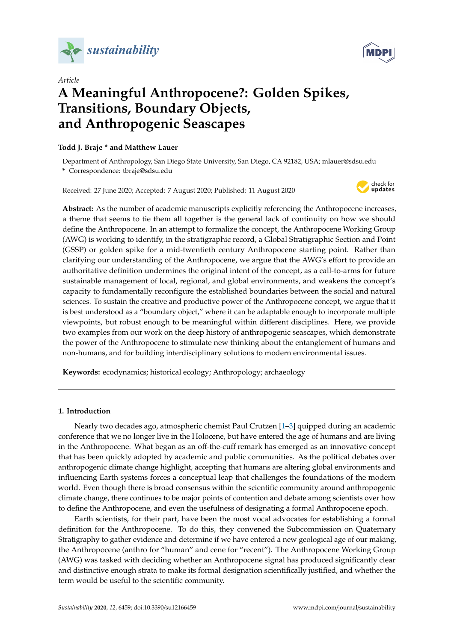



# *Article* **A Meaningful Anthropocene?: Golden Spikes, Transitions, Boundary Objects, and Anthropogenic Seascapes**

# **Todd J. Braje \* and Matthew Lauer**

Department of Anthropology, San Diego State University, San Diego, CA 92182, USA; mlauer@sdsu.edu **\*** Correspondence: tbraje@sdsu.edu

Received: 27 June 2020; Accepted: 7 August 2020; Published: 11 August 2020



**Abstract:** As the number of academic manuscripts explicitly referencing the Anthropocene increases, a theme that seems to tie them all together is the general lack of continuity on how we should define the Anthropocene. In an attempt to formalize the concept, the Anthropocene Working Group (AWG) is working to identify, in the stratigraphic record, a Global Stratigraphic Section and Point (GSSP) or golden spike for a mid-twentieth century Anthropocene starting point. Rather than clarifying our understanding of the Anthropocene, we argue that the AWG's effort to provide an authoritative definition undermines the original intent of the concept, as a call-to-arms for future sustainable management of local, regional, and global environments, and weakens the concept's capacity to fundamentally reconfigure the established boundaries between the social and natural sciences. To sustain the creative and productive power of the Anthropocene concept, we argue that it is best understood as a "boundary object," where it can be adaptable enough to incorporate multiple viewpoints, but robust enough to be meaningful within different disciplines. Here, we provide two examples from our work on the deep history of anthropogenic seascapes, which demonstrate the power of the Anthropocene to stimulate new thinking about the entanglement of humans and non-humans, and for building interdisciplinary solutions to modern environmental issues.

**Keywords:** ecodynamics; historical ecology; Anthropology; archaeology

## **1. Introduction**

Nearly two decades ago, atmospheric chemist Paul Crutzen [\[1](#page-8-0)[–3\]](#page-8-1) quipped during an academic conference that we no longer live in the Holocene, but have entered the age of humans and are living in the Anthropocene. What began as an off-the-cuff remark has emerged as an innovative concept that has been quickly adopted by academic and public communities. As the political debates over anthropogenic climate change highlight, accepting that humans are altering global environments and influencing Earth systems forces a conceptual leap that challenges the foundations of the modern world. Even though there is broad consensus within the scientific community around anthropogenic climate change, there continues to be major points of contention and debate among scientists over how to define the Anthropocene, and even the usefulness of designating a formal Anthropocene epoch.

Earth scientists, for their part, have been the most vocal advocates for establishing a formal definition for the Anthropocene. To do this, they convened the Subcommission on Quaternary Stratigraphy to gather evidence and determine if we have entered a new geological age of our making, the Anthropocene (anthro for "human" and cene for "recent"). The Anthropocene Working Group (AWG) was tasked with deciding whether an Anthropocene signal has produced significantly clear and distinctive enough strata to make its formal designation scientifically justified, and whether the term would be useful to the scientific community.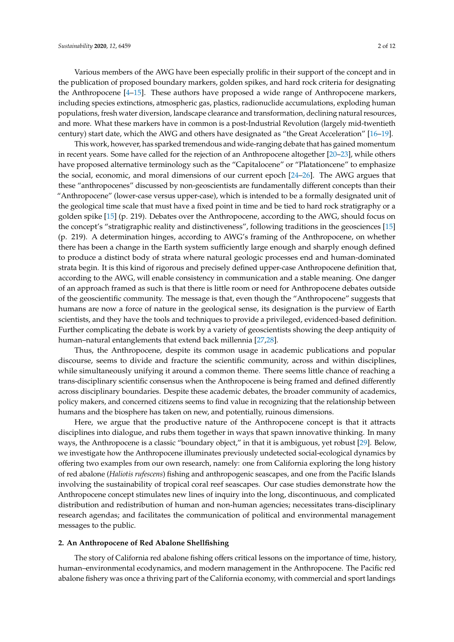Various members of the AWG have been especially prolific in their support of the concept and in the publication of proposed boundary markers, golden spikes, and hard rock criteria for designating the Anthropocene [\[4](#page-8-2)[–15\]](#page-9-0). These authors have proposed a wide range of Anthropocene markers, including species extinctions, atmospheric gas, plastics, radionuclide accumulations, exploding human populations, fresh water diversion, landscape clearance and transformation, declining natural resources, and more. What these markers have in common is a post-Industrial Revolution (largely mid-twentieth century) start date, which the AWG and others have designated as "the Great Acceleration" [\[16](#page-9-1)[–19\]](#page-9-2).

This work, however, has sparked tremendous and wide-ranging debate that has gained momentum in recent years. Some have called for the rejection of an Anthropocene altogether [\[20–](#page-9-3)[23\]](#page-9-4), while others have proposed alternative terminology such as the "Capitalocene" or "Platationcene" to emphasize the social, economic, and moral dimensions of our current epoch [\[24–](#page-9-5)[26\]](#page-9-6). The AWG argues that these "anthropocenes" discussed by non-geoscientists are fundamentally different concepts than their "Anthropocene" (lower-case versus upper-case), which is intended to be a formally designated unit of the geological time scale that must have a fixed point in time and be tied to hard rock stratigraphy or a golden spike [\[15\]](#page-9-0) (p. 219). Debates over the Anthropocene, according to the AWG, should focus on the concept's "stratigraphic reality and distinctiveness", following traditions in the geosciences [\[15\]](#page-9-0) (p. 219). A determination hinges, according to AWG's framing of the Anthropocene, on whether there has been a change in the Earth system sufficiently large enough and sharply enough defined to produce a distinct body of strata where natural geologic processes end and human-dominated strata begin. It is this kind of rigorous and precisely defined upper-case Anthropocene definition that, according to the AWG, will enable consistency in communication and a stable meaning. One danger of an approach framed as such is that there is little room or need for Anthropocene debates outside of the geoscientific community. The message is that, even though the "Anthropocene" suggests that humans are now a force of nature in the geological sense, its designation is the purview of Earth scientists, and they have the tools and techniques to provide a privileged, evidenced-based definition. Further complicating the debate is work by a variety of geoscientists showing the deep antiquity of human–natural entanglements that extend back millennia [\[27](#page-9-7)[,28\]](#page-9-8).

Thus, the Anthropocene, despite its common usage in academic publications and popular discourse, seems to divide and fracture the scientific community, across and within disciplines, while simultaneously unifying it around a common theme. There seems little chance of reaching a trans-disciplinary scientific consensus when the Anthropocene is being framed and defined differently across disciplinary boundaries. Despite these academic debates, the broader community of academics, policy makers, and concerned citizens seems to find value in recognizing that the relationship between humans and the biosphere has taken on new, and potentially, ruinous dimensions.

Here, we argue that the productive nature of the Anthropocene concept is that it attracts disciplines into dialogue, and rubs them together in ways that spawn innovative thinking. In many ways, the Anthropocene is a classic "boundary object," in that it is ambiguous, yet robust [\[29\]](#page-9-9). Below, we investigate how the Anthropocene illuminates previously undetected social-ecological dynamics by offering two examples from our own research, namely: one from California exploring the long history of red abalone (*Haliotis rufescens*) fishing and anthropogenic seascapes, and one from the Pacific Islands involving the sustainability of tropical coral reef seascapes. Our case studies demonstrate how the Anthropocene concept stimulates new lines of inquiry into the long, discontinuous, and complicated distribution and redistribution of human and non-human agencies; necessitates trans-disciplinary research agendas; and facilitates the communication of political and environmental management messages to the public.

#### **2. An Anthropocene of Red Abalone Shellfishing**

The story of California red abalone fishing offers critical lessons on the importance of time, history, human–environmental ecodynamics, and modern management in the Anthropocene. The Pacific red abalone fishery was once a thriving part of the California economy, with commercial and sport landings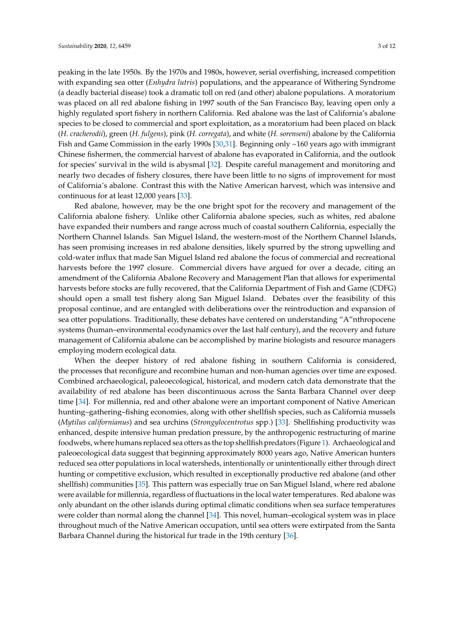peaking in the late 1950s. By the 1970s and 1980s, however, serial overfishing, increased competition with expanding sea otter (*Enhydra lutris*) populations, and the appearance of Withering Syndrome (a deadly bacterial disease) took a dramatic toll on red (and other) abalone populations. A moratorium was placed on all red abalone fishing in 1997 south of the San Francisco Bay, leaving open only a highly regulated sport fishery in northern California. Red abalone was the last of California's abalone species to be closed to commercial and sport exploitation, as a moratorium had been placed on black (*H. cracherodii*), green (*H. fulgens*), pink (*H. corregata*), and white (*H. sorenseni*) abalone by the California Fish and Game Commission in the early 1990s [\[30,](#page-9-10)[31\]](#page-9-11). Beginning only ~160 years ago with immigrant Chinese fishermen, the commercial harvest of abalone has evaporated in California, and the outlook for species' survival in the wild is abysmal [\[32\]](#page-9-12). Despite careful management and monitoring and nearly two decades of fishery closures, there have been little to no signs of improvement for most of California's abalone. Contrast this with the Native American harvest, which was intensive and continuous for at least 12,000 years [\[33\]](#page-9-13).

Red abalone, however, may be the one bright spot for the recovery and management of the California abalone fishery. Unlike other California abalone species, such as whites, red abalone have expanded their numbers and range across much of coastal southern California, especially the Northern Channel Islands. San Miguel Island, the western-most of the Northern Channel Islands, has seen promising increases in red abalone densities, likely spurred by the strong upwelling and cold-water influx that made San Miguel Island red abalone the focus of commercial and recreational harvests before the 1997 closure. Commercial divers have argued for over a decade, citing an amendment of the California Abalone Recovery and Management Plan that allows for experimental harvests before stocks are fully recovered, that the California Department of Fish and Game (CDFG) should open a small test fishery along San Miguel Island. Debates over the feasibility of this proposal continue, and are entangled with deliberations over the reintroduction and expansion of sea otter populations. Traditionally, these debates have centered on understanding "A"nthropocene systems (human–environmental ecodynamics over the last half century), and the recovery and future management of California abalone can be accomplished by marine biologists and resource managers employing modern ecological data.

When the deeper history of red abalone fishing in southern California is considered, the processes that reconfigure and recombine human and non-human agencies over time are exposed. Combined archaeological, paleoecological, historical, and modern catch data demonstrate that the availability of red abalone has been discontinuous across the Santa Barbara Channel over deep time [\[34\]](#page-9-14). For millennia, red and other abalone were an important component of Native American hunting–gathering–fishing economies, along with other shellfish species, such as California mussels (*Mytilus californianus*) and sea urchins (*Strongylocentrotus* spp.) [\[33\]](#page-9-13). Shellfishing productivity was enhanced, despite intensive human predation pressure, by the anthropogenic restructuring of marine foodwebs, where humans replaced sea otters as the top shellfish predators (Figure [1\)](#page-3-0). Archaeological and paleoecological data suggest that beginning approximately 8000 years ago, Native American hunters reduced sea otter populations in local watersheds, intentionally or unintentionally either through direct hunting or competitive exclusion, which resulted in exceptionally productive red abalone (and other shellfish) communities [\[35\]](#page-10-0). This pattern was especially true on San Miguel Island, where red abalone were available for millennia, regardless of fluctuations in the local water temperatures. Red abalone was only abundant on the other islands during optimal climatic conditions when sea surface temperatures were colder than normal along the channel [\[34\]](#page-9-14). This novel, human–ecological system was in place throughout much of the Native American occupation, until sea otters were extirpated from the Santa Barbara Channel during the historical fur trade in the 19th century [\[36\]](#page-10-1).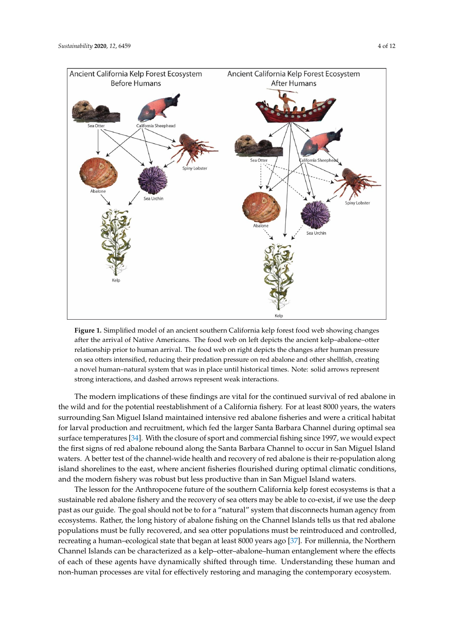<span id="page-3-0"></span>

**Figure 1.** Simplified model of an ancient southern California kelp forest food web showing changes **Figure 1.** Simplified model of an ancient southern California kelp forest food web showing changes after the arrival of Native Americans. The food web on left depicts the ancient kelp–abalone–otter after the arrival of Native Americans. The food web on left depicts the ancient kelp–abalone–otter relationship prior to human arrival. The food web on right depicts the changes after human pressure relationship prior to human arrival. The food web on right depicts the changes after human pressure on sea otters intensified, reducing their predation pressure on red abalone and other shellfish, creating on sea otters intensified, reducing their predation pressure on red abalone and other shellfish, creating a novel human–natural system that was in place until historical times. Note: solid arrows represent a novel human–natural system that was in place until historical times. Note: solid arrows represent strong interactions, and dashed arrows represent weak interactions. strong interactions, and dashed arrows represent weak interactions.

The modern implications of these findings are vital for the continued survival of red abalone in The modern implications of these findings are vital for the continued survival of red abalone in the wild and for the potential reestablishment of a California fishery. For at least 8000 years, the the wild and for the potential reestablishment of a California fishery. For at least 8000 years, the waters surrounding San Miguel Island maintained intensive red abalone fisheries and were a critical habitat for larval production and recruitment, which fed the larger Santa Barbara Channel during optimal sea surface temperatures [\[34\]](#page-9-14). With the closure of sport and commercial fishing since 1997, we would expect the first signs of red abalone rebound along the Santa Barbara Channel to occur in San Miguel Island waters. A better test of the channel-wide health and recovery of red abalone is their re-population along island shorelines to the east, where ancient fisheries flourished during optimal climatic conditions, and the modern fishery was robust but less productive than in San Miguel Island waters.

The lesson for the Anthropocene future of the southern California kelp forest ecosystems is that a The lesson for the Anthropocene future of the southern California kelp forest ecosystems is that sustainable red abalone fishery and the recovery of sea otters may be able to co-exist, if we use the deep past as our guide. The goal should not be to for a "natural" system that disconnects human agency from<br>Past as our guide. The goal should not be to for a "natural" system that disconnects human agency from ecosystems. Rather, the long history of abalone fishing on the Channel Islands tells us that red abalone populations must be fully recovered, and sea otter populations must be reintroduced and controlled,<br> recreating a human–ecological state that began at least 8000 years ago [\[37\]](#page-10-2). For millennia, the Northern Channel Islands can be characterized as a kelp–otter–abalone–human entanglement where the effects of each of these agents have dynamically shifted through time. Understanding these human and non-human processes are vital for effectively restoring and managing the contemporary ecosystem.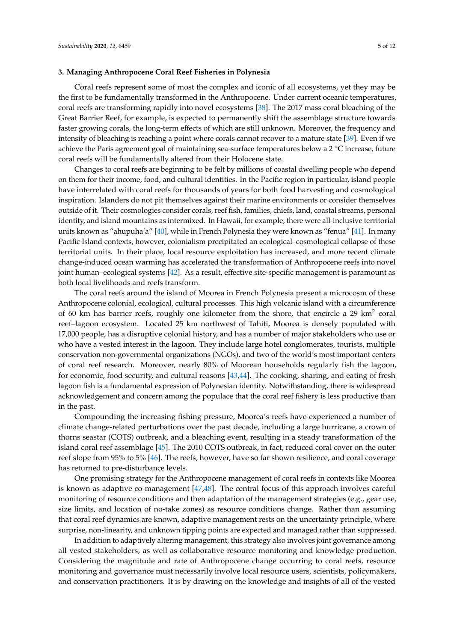### **3. Managing Anthropocene Coral Reef Fisheries in Polynesia**

Coral reefs represent some of most the complex and iconic of all ecosystems, yet they may be the first to be fundamentally transformed in the Anthropocene. Under current oceanic temperatures, coral reefs are transforming rapidly into novel ecosystems [\[38\]](#page-10-3). The 2017 mass coral bleaching of the Great Barrier Reef, for example, is expected to permanently shift the assemblage structure towards faster growing corals, the long-term effects of which are still unknown. Moreover, the frequency and intensity of bleaching is reaching a point where corals cannot recover to a mature state [\[39\]](#page-10-4). Even if we achieve the Paris agreement goal of maintaining sea-surface temperatures below a 2 ◦C increase, future coral reefs will be fundamentally altered from their Holocene state.

Changes to coral reefs are beginning to be felt by millions of coastal dwelling people who depend on them for their income, food, and cultural identities. In the Pacific region in particular, island people have interrelated with coral reefs for thousands of years for both food harvesting and cosmological inspiration. Islanders do not pit themselves against their marine environments or consider themselves outside of it. Their cosmologies consider corals, reef fish, families, chiefs, land, coastal streams, personal identity, and island mountains as intermixed. In Hawaii, for example, there were all-inclusive territorial units known as "ahupuha'a" [\[40\]](#page-10-5), while in French Polynesia they were known as "fenua" [\[41\]](#page-10-6). In many Pacific Island contexts, however, colonialism precipitated an ecological–cosmological collapse of these territorial units. In their place, local resource exploitation has increased, and more recent climate change-induced ocean warming has accelerated the transformation of Anthropocene reefs into novel joint human–ecological systems [\[42\]](#page-10-7). As a result, effective site-specific management is paramount as both local livelihoods and reefs transform.

The coral reefs around the island of Moorea in French Polynesia present a microcosm of these Anthropocene colonial, ecological, cultural processes. This high volcanic island with a circumference of 60 km has barrier reefs, roughly one kilometer from the shore, that encircle a 29 km<sup>2</sup> coral reef–lagoon ecosystem. Located 25 km northwest of Tahiti, Moorea is densely populated with 17,000 people, has a disruptive colonial history, and has a number of major stakeholders who use or who have a vested interest in the lagoon. They include large hotel conglomerates, tourists, multiple conservation non-governmental organizations (NGOs), and two of the world's most important centers of coral reef research. Moreover, nearly 80% of Moorean households regularly fish the lagoon, for economic, food security, and cultural reasons [\[43,](#page-10-8)[44\]](#page-10-9). The cooking, sharing, and eating of fresh lagoon fish is a fundamental expression of Polynesian identity. Notwithstanding, there is widespread acknowledgement and concern among the populace that the coral reef fishery is less productive than in the past.

Compounding the increasing fishing pressure, Moorea's reefs have experienced a number of climate change-related perturbations over the past decade, including a large hurricane, a crown of thorns seastar (COTS) outbreak, and a bleaching event, resulting in a steady transformation of the island coral reef assemblage [\[45\]](#page-10-10). The 2010 COTS outbreak, in fact, reduced coral cover on the outer reef slope from 95% to 5% [\[46\]](#page-10-11). The reefs, however, have so far shown resilience, and coral coverage has returned to pre-disturbance levels.

One promising strategy for the Anthropocene management of coral reefs in contexts like Moorea is known as adaptive co-management [\[47,](#page-10-12)[48\]](#page-10-13). The central focus of this approach involves careful monitoring of resource conditions and then adaptation of the management strategies (e.g., gear use, size limits, and location of no-take zones) as resource conditions change. Rather than assuming that coral reef dynamics are known, adaptive management rests on the uncertainty principle, where surprise, non-linearity, and unknown tipping points are expected and managed rather than suppressed.

In addition to adaptively altering management, this strategy also involves joint governance among all vested stakeholders, as well as collaborative resource monitoring and knowledge production. Considering the magnitude and rate of Anthropocene change occurring to coral reefs, resource monitoring and governance must necessarily involve local resource users, scientists, policymakers, and conservation practitioners. It is by drawing on the knowledge and insights of all of the vested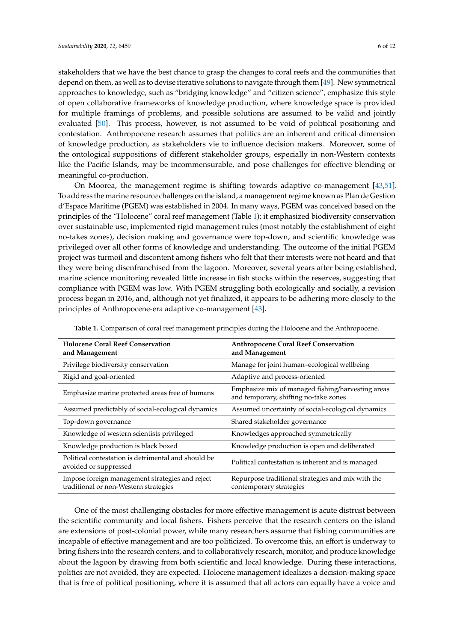stakeholders that we have the best chance to grasp the changes to coral reefs and the communities that depend on them, as well as to devise iterative solutions to navigate through them [\[49\]](#page-10-14). New symmetrical approaches to knowledge, such as "bridging knowledge" and "citizen science", emphasize this style of open collaborative frameworks of knowledge production, where knowledge space is provided for multiple framings of problems, and possible solutions are assumed to be valid and jointly evaluated [\[50\]](#page-10-15). This process, however, is not assumed to be void of political positioning and contestation. Anthropocene research assumes that politics are an inherent and critical dimension of knowledge production, as stakeholders vie to influence decision makers. Moreover, some of the ontological suppositions of different stakeholder groups, especially in non-Western contexts like the Pacific Islands, may be incommensurable, and pose challenges for effective blending or meaningful co-production.

On Moorea, the management regime is shifting towards adaptive co-management [\[43,](#page-10-8)[51\]](#page-10-16). To address the marine resource challenges on the island, a management regime known as Plan de Gestion d'Espace Maritime (PGEM) was established in 2004. In many ways, PGEM was conceived based on the principles of the "Holocene" coral reef management (Table [1\)](#page-5-0); it emphasized biodiversity conservation over sustainable use, implemented rigid management rules (most notably the establishment of eight no-takes zones), decision making and governance were top-down, and scientific knowledge was privileged over all other forms of knowledge and understanding. The outcome of the initial PGEM project was turmoil and discontent among fishers who felt that their interests were not heard and that they were being disenfranchised from the lagoon. Moreover, several years after being established, marine science monitoring revealed little increase in fish stocks within the reserves, suggesting that compliance with PGEM was low. With PGEM struggling both ecologically and socially, a revision process began in 2016, and, although not yet finalized, it appears to be adhering more closely to the principles of Anthropocene-era adaptive co-management [\[43\]](#page-10-8).

<span id="page-5-0"></span>

| <b>Holocene Coral Reef Conservation</b><br>and Management                                | <b>Anthropocene Coral Reef Conservation</b><br>and Management                              |
|------------------------------------------------------------------------------------------|--------------------------------------------------------------------------------------------|
| Privilege biodiversity conservation                                                      | Manage for joint human-ecological wellbeing                                                |
| Rigid and goal-oriented                                                                  | Adaptive and process-oriented                                                              |
| Emphasize marine protected areas free of humans                                          | Emphasize mix of managed fishing/harvesting areas<br>and temporary, shifting no-take zones |
| Assumed predictably of social-ecological dynamics                                        | Assumed uncertainty of social-ecological dynamics                                          |
| Top-down governance                                                                      | Shared stakeholder governance                                                              |
| Knowledge of western scientists privileged                                               | Knowledges approached symmetrically                                                        |
| Knowledge production is black boxed                                                      | Knowledge production is open and deliberated                                               |
| Political contestation is detrimental and should be<br>avoided or suppressed             | Political contestation is inherent and is managed                                          |
| Impose foreign management strategies and reject<br>traditional or non-Western strategies | Repurpose traditional strategies and mix with the<br>contemporary strategies               |

**Table 1.** Comparison of coral reef management principles during the Holocene and the Anthropocene.

One of the most challenging obstacles for more effective management is acute distrust between the scientific community and local fishers. Fishers perceive that the research centers on the island are extensions of post-colonial power, while many researchers assume that fishing communities are incapable of effective management and are too politicized. To overcome this, an effort is underway to bring fishers into the research centers, and to collaboratively research, monitor, and produce knowledge about the lagoon by drawing from both scientific and local knowledge. During these interactions, politics are not avoided, they are expected. Holocene management idealizes a decision-making space that is free of political positioning, where it is assumed that all actors can equally have a voice and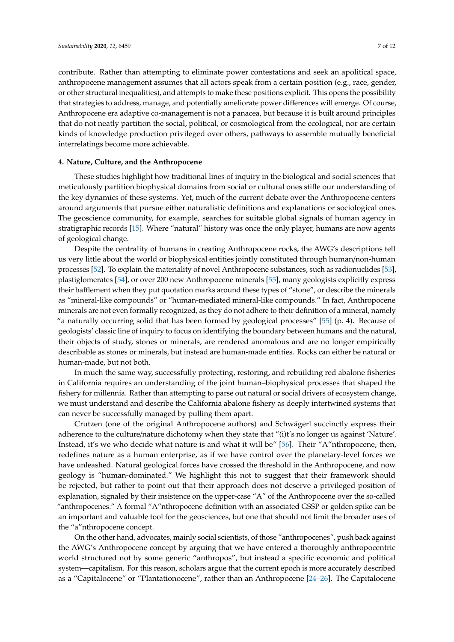contribute. Rather than attempting to eliminate power contestations and seek an apolitical space, anthropocene management assumes that all actors speak from a certain position (e.g., race, gender, or other structural inequalities), and attempts to make these positions explicit. This opens the possibility that strategies to address, manage, and potentially ameliorate power differences will emerge. Of course, Anthropocene era adaptive co-management is not a panacea, but because it is built around principles that do not neatly partition the social, political, or cosmological from the ecological, nor are certain kinds of knowledge production privileged over others, pathways to assemble mutually beneficial interrelatings become more achievable.

## **4. Nature, Culture, and the Anthropocene**

These studies highlight how traditional lines of inquiry in the biological and social sciences that meticulously partition biophysical domains from social or cultural ones stifle our understanding of the key dynamics of these systems. Yet, much of the current debate over the Anthropocene centers around arguments that pursue either naturalistic definitions and explanations or sociological ones. The geoscience community, for example, searches for suitable global signals of human agency in stratigraphic records [\[15\]](#page-9-0). Where "natural" history was once the only player, humans are now agents of geological change.

Despite the centrality of humans in creating Anthropocene rocks, the AWG's descriptions tell us very little about the world or biophysical entities jointly constituted through human/non-human processes [\[52\]](#page-10-17). To explain the materiality of novel Anthropocene substances, such as radionuclides [\[53\]](#page-10-18), plastiglomerates [\[54\]](#page-10-19), or over 200 new Anthropocene minerals [\[55\]](#page-10-20), many geologists explicitly express their bafflement when they put quotation marks around these types of "stone", or describe the minerals as "mineral-like compounds" or "human-mediated mineral-like compounds." In fact, Anthropocene minerals are not even formally recognized, as they do not adhere to their definition of a mineral, namely "a naturally occurring solid that has been formed by geological processes"  $[55]$  (p. 4). Because of geologists' classic line of inquiry to focus on identifying the boundary between humans and the natural, their objects of study, stones or minerals, are rendered anomalous and are no longer empirically describable as stones or minerals, but instead are human-made entities. Rocks can either be natural or human-made, but not both.

In much the same way, successfully protecting, restoring, and rebuilding red abalone fisheries in California requires an understanding of the joint human–biophysical processes that shaped the fishery for millennia. Rather than attempting to parse out natural or social drivers of ecosystem change, we must understand and describe the California abalone fishery as deeply intertwined systems that can never be successfully managed by pulling them apart.

Crutzen (one of the original Anthropocene authors) and Schwägerl succinctly express their adherence to the culture/nature dichotomy when they state that "(i)t's no longer us against 'Nature'. Instead, it's we who decide what nature is and what it will be" [\[56\]](#page-10-21). Their "A"nthropocene, then, redefines nature as a human enterprise, as if we have control over the planetary-level forces we have unleashed. Natural geological forces have crossed the threshold in the Anthropocene, and now geology is "human-dominated." We highlight this not to suggest that their framework should be rejected, but rather to point out that their approach does not deserve a privileged position of explanation, signaled by their insistence on the upper-case "A" of the Anthropocene over the so-called "anthropocenes." A formal "A"nthropocene definition with an associated GSSP or golden spike can be an important and valuable tool for the geosciences, but one that should not limit the broader uses of the "a"nthropocene concept.

On the other hand, advocates, mainly social scientists, of those "anthropocenes", push back against the AWG's Anthropocene concept by arguing that we have entered a thoroughly anthropocentric world structured not by some generic "anthropos", but instead a specific economic and political system—capitalism. For this reason, scholars argue that the current epoch is more accurately described as a "Capitalocene" or "Plantationocene", rather than an Anthropocene [\[24](#page-9-5)[–26\]](#page-9-6). The Capitalocene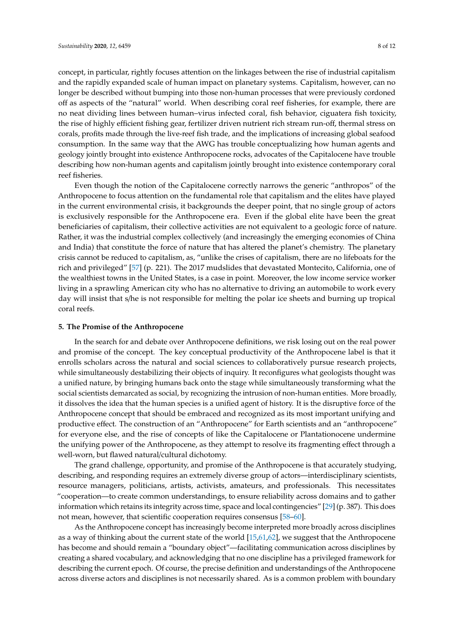concept, in particular, rightly focuses attention on the linkages between the rise of industrial capitalism and the rapidly expanded scale of human impact on planetary systems. Capitalism, however, can no longer be described without bumping into those non-human processes that were previously cordoned off as aspects of the "natural" world. When describing coral reef fisheries, for example, there are no neat dividing lines between human–virus infected coral, fish behavior, ciguatera fish toxicity, the rise of highly efficient fishing gear, fertilizer driven nutrient rich stream run-off, thermal stress on corals, profits made through the live-reef fish trade, and the implications of increasing global seafood consumption. In the same way that the AWG has trouble conceptualizing how human agents and geology jointly brought into existence Anthropocene rocks, advocates of the Capitalocene have trouble describing how non-human agents and capitalism jointly brought into existence contemporary coral reef fisheries.

Even though the notion of the Capitalocene correctly narrows the generic "anthropos" of the Anthropocene to focus attention on the fundamental role that capitalism and the elites have played in the current environmental crisis, it backgrounds the deeper point, that no single group of actors is exclusively responsible for the Anthropocene era. Even if the global elite have been the great beneficiaries of capitalism, their collective activities are not equivalent to a geologic force of nature. Rather, it was the industrial complex collectively (and increasingly the emerging economies of China and India) that constitute the force of nature that has altered the planet's chemistry. The planetary crisis cannot be reduced to capitalism, as, "unlike the crises of capitalism, there are no lifeboats for the rich and privileged" [\[57\]](#page-10-22) (p. 221). The 2017 mudslides that devastated Montecito, California, one of the wealthiest towns in the United States, is a case in point. Moreover, the low income service worker living in a sprawling American city who has no alternative to driving an automobile to work every day will insist that s/he is not responsible for melting the polar ice sheets and burning up tropical coral reefs.

#### **5. The Promise of the Anthropocene**

In the search for and debate over Anthropocene definitions, we risk losing out on the real power and promise of the concept. The key conceptual productivity of the Anthropocene label is that it enrolls scholars across the natural and social sciences to collaboratively pursue research projects, while simultaneously destabilizing their objects of inquiry. It reconfigures what geologists thought was a unified nature, by bringing humans back onto the stage while simultaneously transforming what the social scientists demarcated as social, by recognizing the intrusion of non-human entities. More broadly, it dissolves the idea that the human species is a unified agent of history. It is the disruptive force of the Anthropocene concept that should be embraced and recognized as its most important unifying and productive effect. The construction of an "Anthropocene" for Earth scientists and an "anthropocene" for everyone else, and the rise of concepts of like the Capitalocene or Plantationocene undermine the unifying power of the Anthropocene, as they attempt to resolve its fragmenting effect through a well-worn, but flawed natural/cultural dichotomy.

The grand challenge, opportunity, and promise of the Anthropocene is that accurately studying, describing, and responding requires an extremely diverse group of actors—interdisciplinary scientists, resource managers, politicians, artists, activists, amateurs, and professionals. This necessitates "cooperation—to create common understandings, to ensure reliability across domains and to gather information which retains its integrity across time, space and local contingencies" [\[29\]](#page-9-9) (p. 387). This does not mean, however, that scientific cooperation requires consensus [\[58](#page-10-23)[–60\]](#page-11-0).

As the Anthropocene concept has increasingly become interpreted more broadly across disciplines as a way of thinking about the current state of the world [\[15](#page-9-0)[,61,](#page-11-1)[62\]](#page-11-2), we suggest that the Anthropocene has become and should remain a "boundary object"—facilitating communication across disciplines by creating a shared vocabulary, and acknowledging that no one discipline has a privileged framework for describing the current epoch. Of course, the precise definition and understandings of the Anthropocene across diverse actors and disciplines is not necessarily shared. As is a common problem with boundary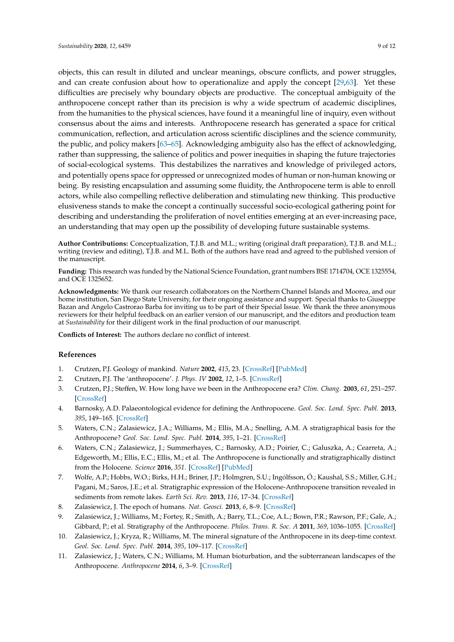anthropocene concept rather than its precision is why a wide spectrum of academic disciplines, from the humanities to the physical sciences, have found it a meaningful line of inquiry, even without consensus about the aims and interests. Anthropocene research has generated a space for critical communication, reflection, and articulation across scientific disciplines and the science community, the public, and policy makers [\[63](#page-11-3)[–65\]](#page-11-4). Acknowledging ambiguity also has the effect of acknowledging, rather than suppressing, the salience of politics and power inequities in shaping the future trajectories of social-ecological systems. This destabilizes the narratives and knowledge of privileged actors, and potentially opens space for oppressed or unrecognized modes of human or non-human knowing or being. By resisting encapsulation and assuming some fluidity, the Anthropocene term is able to enroll actors, while also compelling reflective deliberation and stimulating new thinking. This productive elusiveness stands to make the concept a continually successful socio-ecological gathering point for describing and understanding the proliferation of novel entities emerging at an ever-increasing pace, an understanding that may open up the possibility of developing future sustainable systems.

**Author Contributions:** Conceptualization, T.J.B. and M.L.; writing (original draft preparation), T.J.B. and M.L.; writing (review and editing), T.J.B. and M.L. Both of the authors have read and agreed to the published version of the manuscript.

**Funding:** This research was funded by the National Science Foundation, grant numbers BSE 1714704, OCE 1325554, and OCE 1325652.

**Acknowledgments:** We thank our research collaborators on the Northern Channel Islands and Moorea, and our home institution, San Diego State University, for their ongoing assistance and support. Special thanks to Giuseppe Bazan and Angelo Castrorao Barba for inviting us to be part of their Special Issue. We thank the three anonymous reviewers for their helpful feedback on an earlier version of our manuscript, and the editors and production team at *Sustainability* for their diligent work in the final production of our manuscript.

**Conflicts of Interest:** The authors declare no conflict of interest.

## **References**

- <span id="page-8-0"></span>1. Crutzen, P.J. Geology of mankind. *Nature* **2002**, *415*, 23. [\[CrossRef\]](http://dx.doi.org/10.1038/415023a) [\[PubMed\]](http://www.ncbi.nlm.nih.gov/pubmed/11780095)
- 2. Crutzen, P.J. The 'anthropocene'. *J. Phys. IV* **2002**, *12*, 1–5. [\[CrossRef\]](http://dx.doi.org/10.1051/jp4:20020447)
- <span id="page-8-1"></span>3. Crutzen, P.J.; Steffen, W. How long have we been in the Anthropocene era? *Clim. Chang.* **2003**, *61*, 251–257. [\[CrossRef\]](http://dx.doi.org/10.1023/B:CLIM.0000004708.74871.62)
- <span id="page-8-2"></span>4. Barnosky, A.D. Palaeontological evidence for defining the Anthropocene. *Geol. Soc. Lond. Spec. Publ.* **2013**, *395*, 149–165. [\[CrossRef\]](http://dx.doi.org/10.1144/SP395.6)
- 5. Waters, C.N.; Zalasiewicz, J.A.; Williams, M.; Ellis, M.A.; Snelling, A.M. A stratigraphical basis for the Anthropocene? *Geol. Soc. Lond. Spec. Publ.* **2014**, *395*, 1–21. [\[CrossRef\]](http://dx.doi.org/10.1144/SP395.18)
- 6. Waters, C.N.; Zalasiewicz, J.; Summerhayes, C.; Barnosky, A.D.; Poirier, C.; Galuszka, A.; Cearreta, A.; Edgeworth, M.; Ellis, E.C.; Ellis, M.; et al. The Anthropocene is functionally and stratigraphically distinct from the Holocene. *Science* **2016**, *351*. [\[CrossRef\]](http://dx.doi.org/10.1126/science.aad2622) [\[PubMed\]](http://www.ncbi.nlm.nih.gov/pubmed/26744408)
- 7. Wolfe, A.P.; Hobbs, W.O.; Birks, H.H.; Briner, J.P.; Holmgren, S.U.; Ingólfsson, Ó.; Kaushal, S.S.; Miller, G.H.; Pagani, M.; Saros, J.E.; et al. Stratigraphic expression of the Holocene-Anthropocene transition revealed in sediments from remote lakes. *Earth Sci. Rev.* **2013**, *116*, 17–34. [\[CrossRef\]](http://dx.doi.org/10.1016/j.earscirev.2012.11.001)
- 8. Zalasiewicz, J. The epoch of humans. *Nat. Geosci.* **2013**, *6*, 8–9. [\[CrossRef\]](http://dx.doi.org/10.1038/ngeo1674)
- 9. Zalasiewicz, J.; Williams, M.; Fortey, R.; Smith, A.; Barry, T.L.; Coe, A.L.; Bown, P.R.; Rawson, P.F.; Gale, A.; Gibbard, P.; et al. Stratigraphy of the Anthropocene. *Philos. Trans. R. Soc. A* **2011**, *369*, 1036–1055. [\[CrossRef\]](http://dx.doi.org/10.1098/rsta.2010.0315)
- 10. Zalasiewicz, J.; Kryza, R.; Williams, M. The mineral signature of the Anthropocene in its deep-time context. *Geol. Soc. Lond. Spec. Publ.* **2014**, *395*, 109–117. [\[CrossRef\]](http://dx.doi.org/10.1144/SP395.2)
- 11. Zalasiewicz, J.; Waters, C.N.; Williams, M. Human bioturbation, and the subterranean landscapes of the Anthropocene. *Anthropocene* **2014**, *6*, 3–9. [\[CrossRef\]](http://dx.doi.org/10.1016/j.ancene.2014.07.002)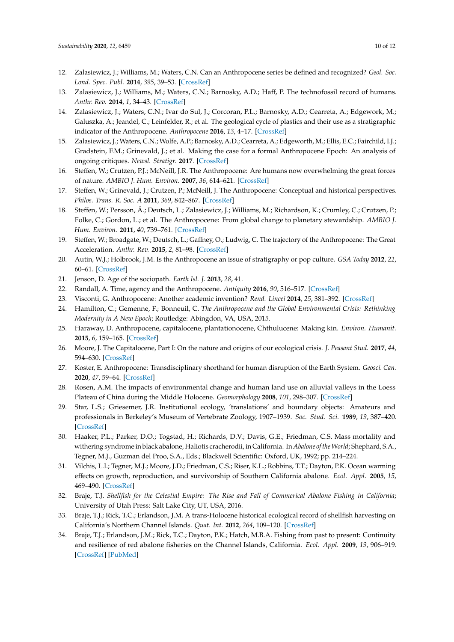- 12. Zalasiewicz, J.; Williams, M.; Waters, C.N. Can an Anthropocene series be defined and recognized? *Geol. Soc. Lond. Spec. Publ.* **2014**, *395*, 39–53. [\[CrossRef\]](http://dx.doi.org/10.1144/SP395.16)
- 13. Zalasiewicz, J.; Williams, M.; Waters, C.N.; Barnosky, A.D.; Haff, P. The technofossil record of humans. *Anthr. Rev.* **2014**, *1*, 34–43. [\[CrossRef\]](http://dx.doi.org/10.1177/2053019613514953)
- 14. Zalasiewicz, J.; Waters, C.N.; Ivar do Sul, J.; Corcoran, P.L.; Barnosky, A.D.; Cearreta, A.; Edgework, M.; Galuszka, A.; Jeandel, C.; Leinfelder, R.; et al. The geological cycle of plastics and their use as a stratigraphic indicator of the Anthropocene. *Anthropocene* **2016**, *13*, 4–17. [\[CrossRef\]](http://dx.doi.org/10.1016/j.ancene.2016.01.002)
- <span id="page-9-0"></span>15. Zalasiewicz, J.; Waters, C.N.; Wolfe, A.P.; Barnosky, A.D.; Cearreta, A.; Edgeworth, M.; Ellis, E.C.; Fairchild, I.J.; Gradstein, F.M.; Grinevald, J.; et al. Making the case for a formal Anthropocene Epoch: An analysis of ongoing critiques. *Newsl. Stratigr.* **2017**. [\[CrossRef\]](http://dx.doi.org/10.1127/nos/2017/0385)
- <span id="page-9-1"></span>16. Steffen, W.; Crutzen, P.J.; McNeill, J.R. The Anthropocene: Are humans now overwhelming the great forces of nature. *AMBIO J. Hum. Environ.* **2007**, *36*, 614–621. [\[CrossRef\]](http://dx.doi.org/10.1579/0044-7447(2007)36[614:TAAHNO]2.0.CO;2)
- 17. Steffen, W.; Grinevald, J.; Crutzen, P.; McNeill, J. The Anthropocene: Conceptual and historical perspectives. *Philos. Trans. R. Soc. A* **2011**, *369*, 842–867. [\[CrossRef\]](http://dx.doi.org/10.1098/rsta.2010.0327)
- 18. Steffen, W.; Persson, Å.; Deutsch, L.; Zalasiewicz, J.; Williams, M.; Richardson, K.; Crumley, C.; Crutzen, P.; Folke, C.; Gordon, L.; et al. The Anthropocene: From global change to planetary stewardship. *AMBIO J. Hum. Environ.* **2011**, *40*, 739–761. [\[CrossRef\]](http://dx.doi.org/10.1007/s13280-011-0185-x)
- <span id="page-9-2"></span>19. Steffen, W.; Broadgate, W.; Deutsch, L.; Gaffney, O.; Ludwig, C. The trajectory of the Anthropocene: The Great Acceleration. *Anthr. Rev.* **2015**, *2*, 81–98. [\[CrossRef\]](http://dx.doi.org/10.1177/2053019614564785)
- <span id="page-9-3"></span>20. Autin, W.J.; Holbrook, J.M. Is the Anthropocene an issue of stratigraphy or pop culture. *GSA Today* **2012**, *22*, 60–61. [\[CrossRef\]](http://dx.doi.org/10.1130/G153GW.1)
- 21. Jenson, D. Age of the sociopath. *Earth Isl. J.* **2013**, *28*, 41.
- 22. Randall, A. Time, agency and the Anthropocene. *Antiquity* **2016**, *90*, 516–517. [\[CrossRef\]](http://dx.doi.org/10.15184/aqy.2016.41)
- <span id="page-9-4"></span>23. Visconti, G. Anthropocene: Another academic invention? *Rend. Lincei* **2014**, *25*, 381–392. [\[CrossRef\]](http://dx.doi.org/10.1007/s12210-014-0317-x)
- <span id="page-9-5"></span>24. Hamilton, C.; Gemenne, F.; Bonneuil, C. *The Anthropocene and the Global Environmental Crisis: Rethinking Modernity in A New Epoch*; Routledge: Abingdon, VA, USA, 2015.
- 25. Haraway, D. Anthropocene, capitalocene, plantationocene, Chthulucene: Making kin. *Environ. Humanit.* **2015**, *6*, 159–165. [\[CrossRef\]](http://dx.doi.org/10.1215/22011919-3615934)
- <span id="page-9-6"></span>26. Moore, J. The Capitalocene, Part I: On the nature and origins of our ecological crisis. *J. Peasant Stud.* **2017**, *44*, 594–630. [\[CrossRef\]](http://dx.doi.org/10.1080/03066150.2016.1235036)
- <span id="page-9-7"></span>27. Koster, E. Anthropocene: Transdisciplinary shorthand for human disruption of the Earth System. *Geosci. Can.* **2020**, *47*, 59–64. [\[CrossRef\]](http://dx.doi.org/10.12789/geocanj.2020.47.160)
- <span id="page-9-8"></span>28. Rosen, A.M. The impacts of environmental change and human land use on alluvial valleys in the Loess Plateau of China during the Middle Holocene. *Geomorphology* **2008**, *101*, 298–307. [\[CrossRef\]](http://dx.doi.org/10.1016/j.geomorph.2008.05.017)
- <span id="page-9-9"></span>29. Star, L.S.; Griesemer, J.R. Institutional ecology, 'translations' and boundary objects: Amateurs and professionals in Berkeley's Museum of Vertebrate Zoology, 1907–1939. *Soc. Stud. Sci.* **1989**, *19*, 387–420. [\[CrossRef\]](http://dx.doi.org/10.1177/030631289019003001)
- <span id="page-9-10"></span>30. Haaker, P.L.; Parker, D.O.; Togstad, H.; Richards, D.V.; Davis, G.E.; Friedman, C.S. Mass mortality and withering syndrome in black abalone, Haliotis cracherodii, in California. In *Abalone of theWorld*; Shephard, S.A., Tegner, M.J., Guzman del Proo, S.A., Eds.; Blackwell Scientific: Oxford, UK, 1992; pp. 214–224.
- <span id="page-9-11"></span>31. Vilchis, L.I.; Tegner, M.J.; Moore, J.D.; Friedman, C.S.; Riser, K.L.; Robbins, T.T.; Dayton, P.K. Ocean warming effects on growth, reproduction, and survivorship of Southern California abalone. *Ecol. Appl.* **2005**, *15*, 469–490. [\[CrossRef\]](http://dx.doi.org/10.1890/03-5326)
- <span id="page-9-12"></span>32. Braje, T.J. *Shellfish for the Celestial Empire: The Rise and Fall of Commerical Abalone Fishing in California*; University of Utah Press: Salt Lake City, UT, USA, 2016.
- <span id="page-9-13"></span>33. Braje, T.J.; Rick, T.C.; Erlandson, J.M. A trans-Holocene historical ecological record of shellfish harvesting on California's Northern Channel Islands. *Quat. Int.* **2012**, *264*, 109–120. [\[CrossRef\]](http://dx.doi.org/10.1016/j.quaint.2011.09.011)
- <span id="page-9-14"></span>34. Braje, T.J.; Erlandson, J.M.; Rick, T.C.; Dayton, P.K.; Hatch, M.B.A. Fishing from past to present: Continuity and resilience of red abalone fisheries on the Channel Islands, California. *Ecol. Appl.* **2009**, *19*, 906–919. [\[CrossRef\]](http://dx.doi.org/10.1890/08-0135.1) [\[PubMed\]](http://www.ncbi.nlm.nih.gov/pubmed/19544733)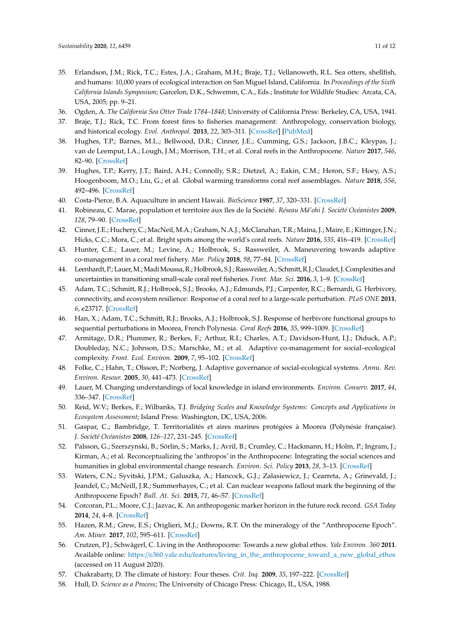- <span id="page-10-0"></span>35. Erlandson, J.M.; Rick, T.C.; Estes, J.A.; Graham, M.H.; Braje, T.J.; Vellanoweth, R.L. Sea otters, shellfish, and humans: 10,000 years of ecological interaction on San Miguel Island, California. In *Proceedings of the Sixth California Islands Symposium*; Garcelon, D.K., Schwemm, C.A., Eds.; Institute for Wildlife Studies: Arcata, CA, USA, 2005; pp. 9–21.
- <span id="page-10-1"></span>36. Ogden, A. *The California Sea Otter Trade 1784–1848*; University of California Press: Berkeley, CA, USA, 1941.
- <span id="page-10-2"></span>37. Braje, T.J.; Rick, T.C. From forest fires to fisheries management: Anthropology, conservation biology, and historical ecology. *Evol. Anthropol.* **2013**, *22*, 303–311. [\[CrossRef\]](http://dx.doi.org/10.1002/evan.21379) [\[PubMed\]](http://www.ncbi.nlm.nih.gov/pubmed/24347504)
- <span id="page-10-3"></span>38. Hughes, T.P.; Barnes, M.L.; Bellwood, D.R.; Cinner, J.E.; Cumming, G.S.; Jackson, J.B.C.; Kleypas, J.; van de Leemput, I.A.; Lough, J.M.; Morrison, T.H.; et al. Coral reefs in the Anthropocene. *Nature* **2017**, *546*, 82–90. [\[CrossRef\]](http://dx.doi.org/10.1038/nature22901)
- <span id="page-10-4"></span>39. Hughes, T.P.; Kerry, J.T.; Baird, A.H.; Connolly, S.R.; Dietzel, A.; Eakin, C.M.; Heron, S.F.; Hoey, A.S.; Hoogenboom, M.O.; Liu, G.; et al. Global warming transforms coral reef assemblages. *Nature* **2018**, *556*, 492–496. [\[CrossRef\]](http://dx.doi.org/10.1038/s41586-018-0041-2)
- <span id="page-10-5"></span>40. Costa-Pierce, B.A. Aquaculture in ancient Hawaii. *BioScience* **1987**, *37*, 320–331. [\[CrossRef\]](http://dx.doi.org/10.2307/1310688)
- <span id="page-10-6"></span>41. Robineau, C. Marae, population et territoire aux îles de la Société. *Réseau Ma'ohi J. Soci ¯ été Océanistes* **2009**, *128*, 79–90. [\[CrossRef\]](http://dx.doi.org/10.4000/jso.5861)
- <span id="page-10-7"></span>42. Cinner, J.E.; Huchery, C.; MacNeil, M.A.; Graham, N.A.J.; McClanahan, T.R.; Maina, J.; Maire, E.; Kittinger, J.N.; Hicks, C.C.; Mora, C.; et al. Bright spots among the world's coral reefs. *Nature* **2016**, *535*, 416–419. [\[CrossRef\]](http://dx.doi.org/10.1038/nature18607)
- <span id="page-10-8"></span>43. Hunter, C.E.; Lauer, M.; Levine, A.; Holbrook, S.; Rassweiler, A. Maneuvering towards adaptive co-management in a coral reef fishery. *Mar. Policy* **2018**, *98*, 77–84. [\[CrossRef\]](http://dx.doi.org/10.1016/j.marpol.2018.09.016)
- <span id="page-10-9"></span>44. Leenhardt, P.; Lauer,M.; MadiMoussa, R.; Holbrook, S.J.; Rassweiler, A.; Schmitt, R.J.; Claudet, J. Complexities and uncertainties in transitioning small-scale coral reef fisheries. *Front. Mar. Sci.* **2016**, *3*, 1–9. [\[CrossRef\]](http://dx.doi.org/10.3389/fmars.2016.00070)
- <span id="page-10-10"></span>45. Adam, T.C.; Schmitt, R.J.; Holbrook, S.J.; Brooks, A.J.; Edmunds, P.J.; Carpenter, R.C.; Bernardi, G. Herbivory, connectivity, and ecosystem resilience: Response of a coral reef to a large-scale perturbation. *PLoS ONE* **2011**, *6*, e23717. [\[CrossRef\]](http://dx.doi.org/10.1371/journal.pone.0023717)
- <span id="page-10-11"></span>46. Han, X.; Adam, T.C.; Schmitt, R.J.; Brooks, A.J.; Holbrook, S.J. Response of herbivore functional groups to sequential perturbations in Moorea, French Polynesia. *Coral Reefs* **2016**, *35*, 999–1009. [\[CrossRef\]](http://dx.doi.org/10.1007/s00338-016-1423-2)
- <span id="page-10-12"></span>47. Armitage, D.R.; Plummer, R.; Berkes, F.; Arthur, R.I.; Charles, A.T.; Davidson-Hunt, I.J.; Diduck, A.P.; Doubleday, N.C.; Johnson, D.S.; Marschke, M.; et al. Adaptive co-management for social–ecological complexity. *Front. Ecol. Environ.* **2009**, *7*, 95–102. [\[CrossRef\]](http://dx.doi.org/10.1890/070089)
- <span id="page-10-13"></span>48. Folke, C.; Hahn, T.; Olsson, P.; Norberg, J. Adaptive governance of social-ecological systems. *Annu. Rev. Environ. Resour.* **2005**, *30*, 441–473. [\[CrossRef\]](http://dx.doi.org/10.1146/annurev.energy.30.050504.144511)
- <span id="page-10-14"></span>49. Lauer, M. Changing understandings of local knowledge in island environments. *Environ. Conserv.* **2017**, *44*, 336–347. [\[CrossRef\]](http://dx.doi.org/10.1017/S0376892917000303)
- <span id="page-10-15"></span>50. Reid, W.V.; Berkes, F.; Wilbanks, T.J. *Bridging Scales and Knowledge Systems: Concepts and Applications in Ecosystem Assessment*; Island Press: Washington, DC, USA, 2006.
- <span id="page-10-16"></span>51. Gaspar, C.; Bambridge, T. Territorialités et aires marines protégées à Moorea (Polynésie française). *J. Société Océanistes* **2008**, *126–127*, 231–245. [\[CrossRef\]](http://dx.doi.org/10.4000/jso.2462)
- <span id="page-10-17"></span>52. Palsson, G.; Szerszynski, B.; Sörlin, S.; Marks, J.; Avril, B.; Crumley, C.; Hackmann, H.; Holm, P.; Ingram, J.; Kirman, A.; et al. Reconceptualizing the 'anthropos' in the Anthropocene: Integrating the social sciences and humanities in global environmental change research. *Environ. Sci. Policy* **2013**, *28*, 3–13. [\[CrossRef\]](http://dx.doi.org/10.1016/j.envsci.2012.11.004)
- <span id="page-10-18"></span>53. Waters, C.N.; Syvitski, J.P.M.; Galuszka, A.; Hancock, G.J.; Zalasiewicz, J.; Cearreta, A.; Grinevald, J.; Jeandel, C.; McNeill, J.R.; Summerhayes, C.; et al. Can nuclear weapons fallout mark the beginning of the Anthropocene Epoch? *Bull. At. Sci.* **2015**, *71*, 46–57. [\[CrossRef\]](http://dx.doi.org/10.1177/0096340215581357)
- <span id="page-10-19"></span>54. Corcoran, P.L.; Moore, C.J.; Jazvac, K. An anthropogenic marker horizon in the future rock record. *GSA Today* **2014**, *24*, 4–8. [\[CrossRef\]](http://dx.doi.org/10.1130/GSAT-G198A.1)
- <span id="page-10-20"></span>55. Hazen, R.M.; Grew, E.S.; Origlieri, M.J.; Downs, R.T. On the mineralogy of the "Anthropocene Epoch". *Am. Miner.* **2017**, *102*, 595–611. [\[CrossRef\]](http://dx.doi.org/10.2138/am-2017-5875)
- <span id="page-10-21"></span>56. Crutzen, P.J.; Schwägerl, C. Living in the Anthropocene: Towards a new global ethos. *Yale Environ. 360* **2011**. Available online: https://e360.yale.edu/features/[living\\_in\\_the\\_anthropocene\\_toward\\_a\\_new\\_global\\_ethos](https://e360.yale.edu/features/living_in_the_anthropocene_toward_a_new_global_ethos) (accessed on 11 August 2020).
- <span id="page-10-22"></span>57. Chakrabarty, D. The climate of history: Four theses. *Crit. Inq.* **2009**, *35*, 197–222. [\[CrossRef\]](http://dx.doi.org/10.1086/596640)
- <span id="page-10-23"></span>58. Hull, D. *Science as a Process*; The University of Chicago Press: Chicago, IL, USA, 1988.